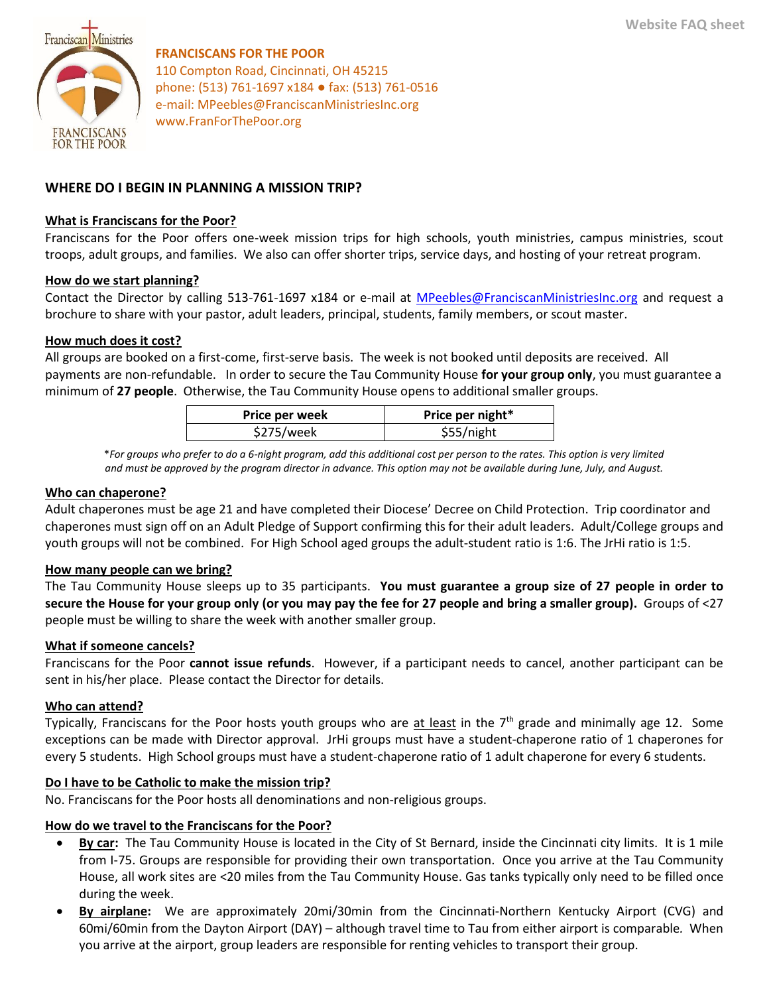

**FRANCISCANS FOR THE POOR** 110 Compton Road, Cincinnati, OH 45215 phone: (513) 761-1697 x184 ● fax: (513) 761-0516 e-mail: MPeebles@FranciscanMinistriesInc.org www.FranForThePoor.org

# **WHERE DO I BEGIN IN PLANNING A MISSION TRIP?**

#### **What is Franciscans for the Poor?**

Franciscans for the Poor offers one-week mission trips for high schools, youth ministries, campus ministries, scout troops, adult groups, and families. We also can offer shorter trips, service days, and hosting of your retreat program.

#### **How do we start planning?**

Contact the Director by calling 513-761-1697 x184 or e-mail at [MPeebles@FranciscanMinistriesInc.org](mailto:MPeebles@FranciscanMinistriesInc.org) and request a brochure to share with your pastor, adult leaders, principal, students, family members, or scout master.

#### **How much does it cost?**

All groups are booked on a first-come, first-serve basis. The week is not booked until deposits are received. All payments are non-refundable. In order to secure the Tau Community House **for your group only**, you must guarantee a minimum of **27 people**. Otherwise, the Tau Community House opens to additional smaller groups.

| Price per week | Price per night* |
|----------------|------------------|
| \$275/week     | \$55/night       |

\**For groups who prefer to do a 6-night program, add this additional cost per person to the rates. This option is very limited and must be approved by the program director in advance. This option may not be available during June, July, and August.*

#### **Who can chaperone?**

Adult chaperones must be age 21 and have completed their Diocese' Decree on Child Protection. Trip coordinator and chaperones must sign off on an Adult Pledge of Support confirming this for their adult leaders. Adult/College groups and youth groups will not be combined. For High School aged groups the adult-student ratio is 1:6. The JrHi ratio is 1:5.

#### **How many people can we bring?**

The Tau Community House sleeps up to 35 participants. **You must guarantee a group size of 27 people in order to secure the House for your group only (or you may pay the fee for 27 people and bring a smaller group).** Groups of <27 people must be willing to share the week with another smaller group.

#### **What if someone cancels?**

Franciscans for the Poor **cannot issue refunds**. However, if a participant needs to cancel, another participant can be sent in his/her place. Please contact the Director for details.

#### **Who can attend?**

Typically, Franciscans for the Poor hosts youth groups who are at least in the  $7<sup>th</sup>$  grade and minimally age 12. Some exceptions can be made with Director approval. JrHi groups must have a student-chaperone ratio of 1 chaperones for every 5 students. High School groups must have a student-chaperone ratio of 1 adult chaperone for every 6 students.

## **Do I have to be Catholic to make the mission trip?**

No. Franciscans for the Poor hosts all denominations and non-religious groups.

## **How do we travel to the Franciscans for the Poor?**

- **By car:** The Tau Community House is located in the City of St Bernard, inside the Cincinnati city limits. It is 1 mile from I-75. Groups are responsible for providing their own transportation. Once you arrive at the Tau Community House, all work sites are <20 miles from the Tau Community House. Gas tanks typically only need to be filled once during the week.
- **By airplane:** We are approximately 20mi/30min from the Cincinnati-Northern Kentucky Airport (CVG) and 60mi/60min from the Dayton Airport (DAY) – although travel time to Tau from either airport is comparable*.* When you arrive at the airport, group leaders are responsible for renting vehicles to transport their group.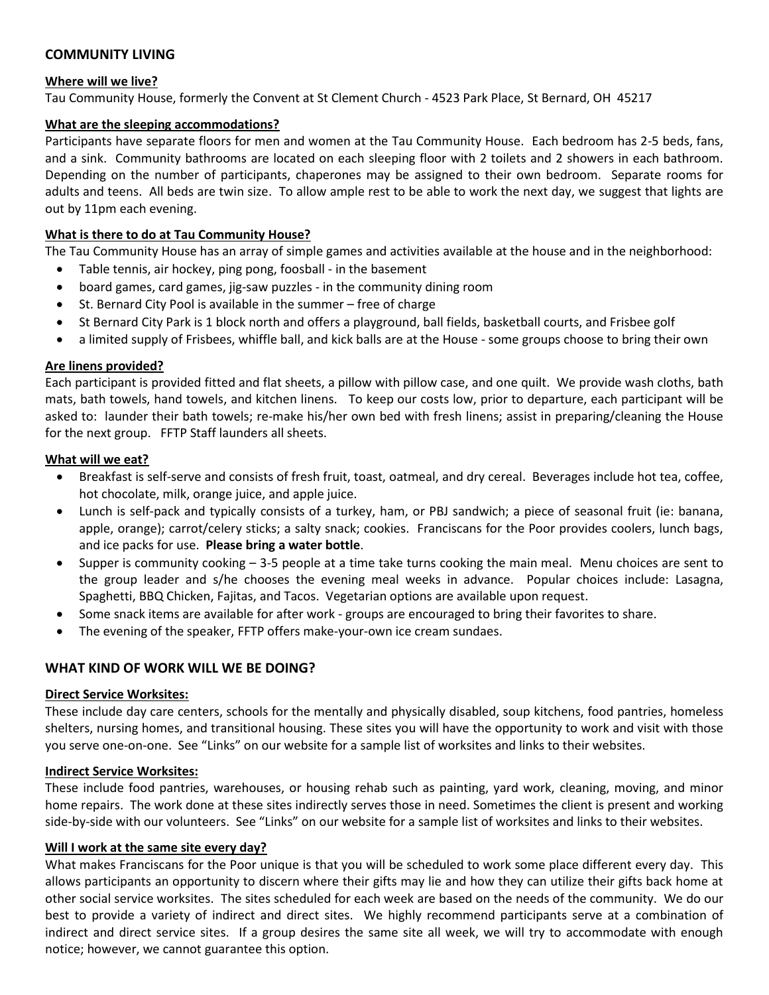# **COMMUNITY LIVING**

# **Where will we live?**

Tau Community House, formerly the Convent at St Clement Church - 4523 Park Place, St Bernard, OH 45217

## **What are the sleeping accommodations?**

Participants have separate floors for men and women at the Tau Community House. Each bedroom has 2-5 beds, fans, and a sink. Community bathrooms are located on each sleeping floor with 2 toilets and 2 showers in each bathroom. Depending on the number of participants, chaperones may be assigned to their own bedroom. Separate rooms for adults and teens. All beds are twin size. To allow ample rest to be able to work the next day, we suggest that lights are out by 11pm each evening.

# **What is there to do at Tau Community House?**

The Tau Community House has an array of simple games and activities available at the house and in the neighborhood:

- Table tennis, air hockey, ping pong, foosball in the basement
- board games, card games, jig-saw puzzles in the community dining room
- St. Bernard City Pool is available in the summer free of charge
- St Bernard City Park is 1 block north and offers a playground, ball fields, basketball courts, and Frisbee golf
- a limited supply of Frisbees, whiffle ball, and kick balls are at the House some groups choose to bring their own

# **Are linens provided?**

Each participant is provided fitted and flat sheets, a pillow with pillow case, and one quilt. We provide wash cloths, bath mats, bath towels, hand towels, and kitchen linens. To keep our costs low, prior to departure, each participant will be asked to: launder their bath towels; re-make his/her own bed with fresh linens; assist in preparing/cleaning the House for the next group. FFTP Staff launders all sheets.

## **What will we eat?**

- Breakfast is self-serve and consists of fresh fruit, toast, oatmeal, and dry cereal. Beverages include hot tea, coffee, hot chocolate, milk, orange juice, and apple juice.
- Lunch is self-pack and typically consists of a turkey, ham, or PBJ sandwich; a piece of seasonal fruit (ie: banana, apple, orange); carrot/celery sticks; a salty snack; cookies. Franciscans for the Poor provides coolers, lunch bags, and ice packs for use. **Please bring a water bottle**.
- Supper is community cooking  $-3-5$  people at a time take turns cooking the main meal. Menu choices are sent to the group leader and s/he chooses the evening meal weeks in advance. Popular choices include: Lasagna, Spaghetti, BBQ Chicken, Fajitas, and Tacos. Vegetarian options are available upon request.
- Some snack items are available for after work groups are encouraged to bring their favorites to share.
- The evening of the speaker, FFTP offers make-your-own ice cream sundaes.

# **WHAT KIND OF WORK WILL WE BE DOING?**

## **Direct Service Worksites:**

These include day care centers, schools for the mentally and physically disabled, soup kitchens, food pantries, homeless shelters, nursing homes, and transitional housing. These sites you will have the opportunity to work and visit with those you serve one-on-one. See "Links" on our website for a sample list of worksites and links to their websites.

## **Indirect Service Worksites:**

These include food pantries, warehouses, or housing rehab such as painting, yard work, cleaning, moving, and minor home repairs. The work done at these sites indirectly serves those in need. Sometimes the client is present and working side-by-side with our volunteers. See "Links" on our website for a sample list of worksites and links to their websites.

## **Will I work at the same site every day?**

What makes Franciscans for the Poor unique is that you will be scheduled to work some place different every day. This allows participants an opportunity to discern where their gifts may lie and how they can utilize their gifts back home at other social service worksites. The sites scheduled for each week are based on the needs of the community. We do our best to provide a variety of indirect and direct sites. We highly recommend participants serve at a combination of indirect and direct service sites. If a group desires the same site all week, we will try to accommodate with enough notice; however, we cannot guarantee this option.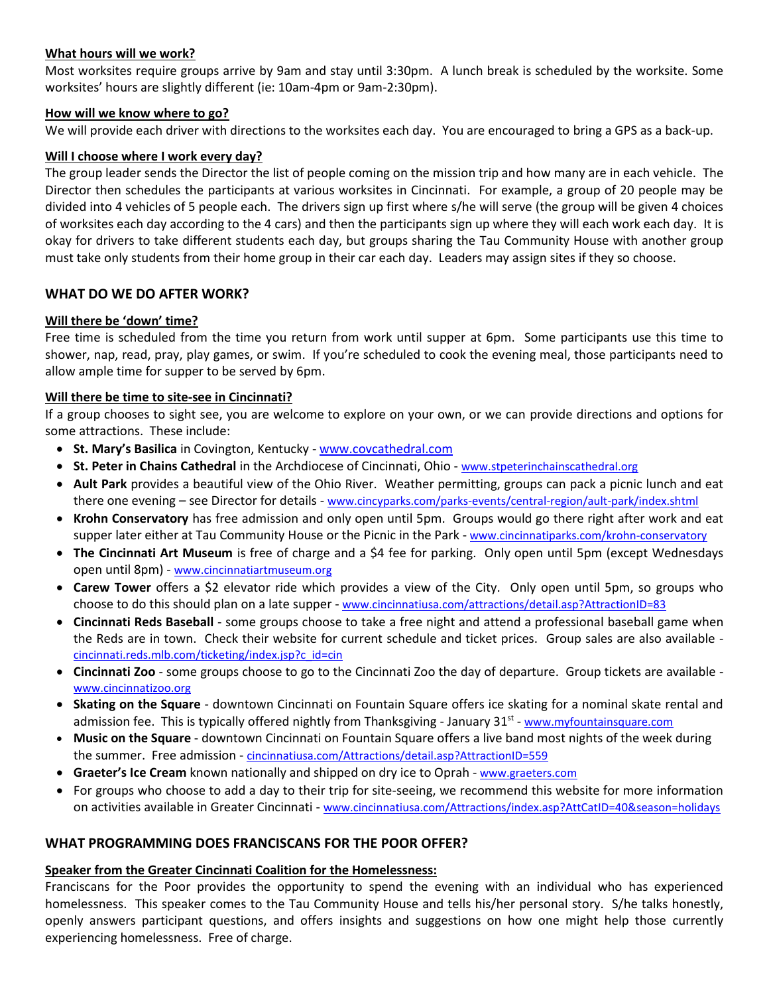## **What hours will we work?**

Most worksites require groups arrive by 9am and stay until 3:30pm. A lunch break is scheduled by the worksite. Some worksites' hours are slightly different (ie: 10am-4pm or 9am-2:30pm).

#### **How will we know where to go?**

We will provide each driver with directions to the worksites each day. You are encouraged to bring a GPS as a back-up.

#### **Will I choose where I work every day?**

The group leader sends the Director the list of people coming on the mission trip and how many are in each vehicle. The Director then schedules the participants at various worksites in Cincinnati. For example, a group of 20 people may be divided into 4 vehicles of 5 people each. The drivers sign up first where s/he will serve (the group will be given 4 choices of worksites each day according to the 4 cars) and then the participants sign up where they will each work each day. It is okay for drivers to take different students each day, but groups sharing the Tau Community House with another group must take only students from their home group in their car each day. Leaders may assign sites if they so choose.

## **WHAT DO WE DO AFTER WORK?**

## **Will there be 'down' time?**

Free time is scheduled from the time you return from work until supper at 6pm. Some participants use this time to shower, nap, read, pray, play games, or swim. If you're scheduled to cook the evening meal, those participants need to allow ample time for supper to be served by 6pm.

## **Will there be time to site-see in Cincinnati?**

If a group chooses to sight see, you are welcome to explore on your own, or we can provide directions and options for some attractions. These include:

- **St. Mary's Basilica** in Covington, Kentucky [www.covcathedral.com](http://www.covcathedral.com/)
- **St. Peter in Chains Cathedral** in the Archdiocese of Cincinnati, Ohio [www.stpeterinchainscathedral.org](http://www.stpeterinchainscathedral.org/)
- **Ault Park** provides a beautiful view of the Ohio River. Weather permitting, groups can pack a picnic lunch and eat there one evening - see Director for details - [www.cincyparks.com/parks-events/central-region/ault-park/index.shtml](http://www.cincyparks.com/parks-events/central-region/ault-park/index.shtml)
- **Krohn Conservatory** has free admission and only open until 5pm. Groups would go there right after work and eat supper later either at Tau Community House or the Picnic in the Park - [www.cincinnatiparks.com/krohn-conservatory](http://www.cincinnatiparks.com/krohn-conservatory)
- **The Cincinnati Art Museum** is free of charge and a \$4 fee for parking. Only open until 5pm (except Wednesdays open until 8pm) - [www.cincinnatiartmuseum.org](http://www.cincinnatiartmuseum.org/)
- **Carew Tower** offers a \$2 elevator ride which provides a view of the City. Only open until 5pm, so groups who choose to do this should plan on a late supper - [www.cincinnatiusa.com/attractions/detail.asp?AttractionID=83](http://www.cincinnatiusa.com/attractions/detail.asp?AttractionID=83)
- **Cincinnati Reds Baseball** some groups choose to take a free night and attend a professional baseball game when the Reds are in town. Check their website for current schedule and ticket prices. Group sales are also available [cincinnati.reds.mlb.com/ticketing/index.jsp?c\\_id=cin](http://cincinnati.reds.mlb.com/ticketing/index.jsp?c_id=cin)
- **Cincinnati Zoo** some groups choose to go to the Cincinnati Zoo the day of departure. Group tickets are available [www.cincinnatizoo.org](http://www.cincinnatizoo.org/)
- **Skating on the Square** downtown Cincinnati on Fountain Square offers ice skating for a nominal skate rental and admission fee. This is typically offered nightly from Thanksgiving - January 31<sup>st</sup> - [www.myfountainsquare.com](http://www.myfountainsquare.com/)
- **Music on the Square** downtown Cincinnati on Fountain Square offers a live band most nights of the week during the summer. Free admission - [cincinnatiusa.com/Attractions/detail.asp?AttractionID=559](http://cincinnatiusa.com/Attractions/detail.asp?AttractionID=559)
- **Graeter's Ice Cream** known nationally and shipped on dry ice to Oprah [www.graeters.com](http://www.graeters.com/)
- For groups who choose to add a day to their trip for site-seeing, we recommend this website for more information on activities available in Greater Cincinnati - [www.cincinnatiusa.com/Attractions/index.asp?AttCatID=40&season=holidays](http://www.cincinnatiusa.com/Attractions/index.asp?AttCatID=40&season=holidays)

## **WHAT PROGRAMMING DOES FRANCISCANS FOR THE POOR OFFER?**

## **Speaker from the Greater Cincinnati Coalition for the Homelessness:**

Franciscans for the Poor provides the opportunity to spend the evening with an individual who has experienced homelessness. This speaker comes to the Tau Community House and tells his/her personal story. S/he talks honestly, openly answers participant questions, and offers insights and suggestions on how one might help those currently experiencing homelessness. Free of charge.